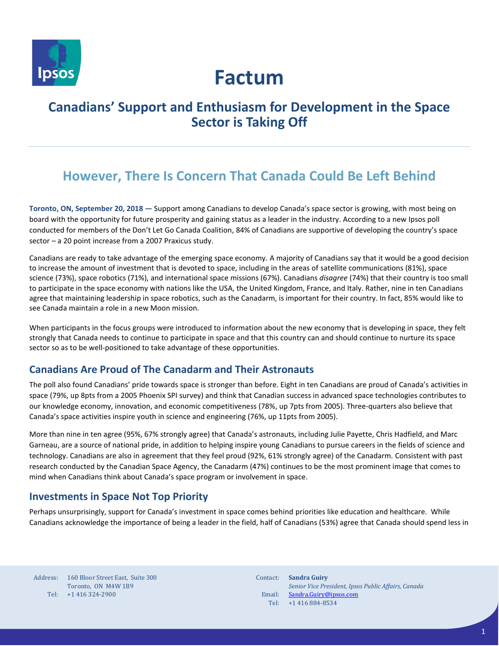

# **Factum**

### **Canadians' Support and Enthusiasm for Development in the Space Sector is Taking Off**

## **However, There Is Concern That Canada Could Be Left Behind**

**Toronto, ON, September 20, 2018 —** Support among Canadians to develop Canada's space sector is growing, with most being on board with the opportunity for future prosperity and gaining status as a leader in the industry. According to a new Ipsos poll conducted for members of the Don't Let Go Canada Coalition, 84% of Canadians are supportive of developing the country's space sector – a 20 point increase from a 2007 Praxicus study.

Canadians are ready to take advantage of the emerging space economy. A majority of Canadians say that it would be a good decision to increase the amount of investment that is devoted to space, including in the areas of satellite communications (81%), space science (73%), space robotics (71%), and international space missions (67%). Canadians *disagree* (74%) that their country is too small to participate in the space economy with nations like the USA, the United Kingdom, France, and Italy. Rather, nine in ten Canadians agree that maintaining leadership in space robotics, such as the Canadarm, is important for their country. In fact, 85% would like to see Canada maintain a role in a new Moon mission.

When participants in the focus groups were introduced to information about the new economy that is developing in space, they felt strongly that Canada needs to continue to participate in space and that this country can and should continue to nurture its space sector so as to be well-positioned to take advantage of these opportunities.

### **Canadians Are Proud of The Canadarm and Their Astronauts**

The poll also found Canadians' pride towards space is stronger than before. Eight in ten Canadians are proud of Canada's activities in space (79%, up 8pts from a 2005 Phoenix SPI survey) and think that Canadian success in advanced space technologies contributes to our knowledge economy, innovation, and economic competitiveness (78%, up 7pts from 2005). Three-quarters also believe that Canada's space activities inspire youth in science and engineering (76%, up 11pts from 2005).

More than nine in ten agree (95%, 67% strongly agree) that Canada's astronauts, including Julie Payette, Chris Hadfield, and Marc Garneau, are a source of national pride, in addition to helping inspire young Canadians to pursue careers in the fields of science and technology. Canadians are also in agreement that they feel proud (92%, 61% strongly agree) of the Canadarm. Consistent with past research conducted by the Canadian Space Agency, the Canadarm (47%) continues to be the most prominent image that comes to mind when Canadians think about Canada's space program or involvement in space.

### **Investments in Space Not Top Priority**

Perhaps unsurprisingly, support for Canada's investment in space comes behind priorities like education and healthcare. While Canadians acknowledge the importance of being a leader in the field, half of Canadians (53%) agree that Canada should spend less in

| Address: | 160 Bloor Street East, Suite 300 |
|----------|----------------------------------|
|          | Toronto, ON M4W 1B9              |
| Tel:     | +1 416 324-2900                  |

Contact: **Sandra Guiry** Email: Tel: +1 416 884-8534 *Senior Vice President, Ipsos Public Affairs, Canada* [Sandra.Guiry@ipsos.com](mailto:Sandra.Guiry@ipsos.com)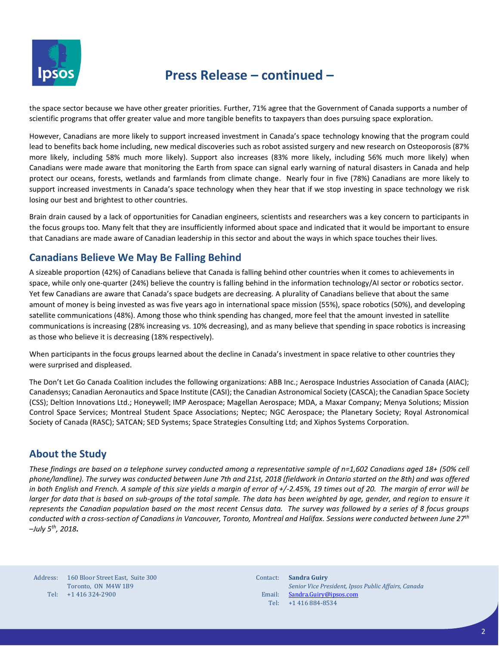

### **Press Release – continued –**

the space sector because we have other greater priorities. Further, 71% agree that the Government of Canada supports a number of scientific programs that offer greater value and more tangible benefits to taxpayers than does pursuing space exploration.

However, Canadians are more likely to support increased investment in Canada's space technology knowing that the program could lead to benefits back home including, new medical discoveries such as robot assisted surgery and new research on Osteoporosis (87% more likely, including 58% much more likely). Support also increases (83% more likely, including 56% much more likely) when Canadians were made aware that monitoring the Earth from space can signal early warning of natural disasters in Canada and help protect our oceans, forests, wetlands and farmlands from climate change. Nearly four in five (78%) Canadians are more likely to support increased investments in Canada's space technology when they hear that if we stop investing in space technology we risk losing our best and brightest to other countries.

Brain drain caused by a lack of opportunities for Canadian engineers, scientists and researchers was a key concern to participants in the focus groups too. Many felt that they are insufficiently informed about space and indicated that it would be important to ensure that Canadians are made aware of Canadian leadership in this sector and about the ways in which space touches their lives.

#### **Canadians Believe We May Be Falling Behind**

A sizeable proportion (42%) of Canadians believe that Canada is falling behind other countries when it comes to achievements in space, while only one-quarter (24%) believe the country is falling behind in the information technology/AI sector or robotics sector. Yet few Canadians are aware that Canada's space budgets are decreasing. A plurality of Canadians believe that about the same amount of money is being invested as was five years ago in international space mission (55%), space robotics (50%), and developing satellite communications (48%). Among those who think spending has changed, more feel that the amount invested in satellite communications is increasing (28% increasing vs. 10% decreasing), and as many believe that spending in space robotics is increasing as those who believe it is decreasing (18% respectively).

When participants in the focus groups learned about the decline in Canada's investment in space relative to other countries they were surprised and displeased.

The Don't Let Go Canada Coalition includes the following organizations: ABB Inc.; Aerospace Industries Association of Canada (AIAC); Canadensys; Canadian Aeronautics and Space Institute (CASI); the Canadian Astronomical Society (CASCA); the Canadian Space Society (CSS); Deltion Innovations Ltd.; Honeywell; IMP Aerospace; Magellan Aerospace; MDA, a Maxar Company; Menya Solutions; Mission Control Space Services; Montreal Student Space Associations; Neptec; NGC Aerospace; the Planetary Society; Royal Astronomical Society of Canada (RASC); SATCAN; SED Systems; Space Strategies Consulting Ltd; and Xiphos Systems Corporation.

### **About the Study**

*These findings are based on a telephone survey conducted among a representative sample of n=1,602 Canadians aged 18+ (50% cell phone/landline). The survey was conducted between June 7th and 21st, 2018 (fieldwork in Ontario started on the 8th) and was offered in both English and French. A sample of this size yields a margin of error of +/-2.45%, 19 times out of 20. The margin of error will be larger for data that is based on sub-groups of the total sample. The data has been weighted by age, gender, and region to ensure it represents the Canadian population based on the most recent Census data. The survey was followed by a series of 8 focus groups conducted with a cross-section of Canadians in Vancouver, Toronto, Montreal and Halifax. Sessions were conducted between June 27th –July 5th, 2018.*

Address: Tel: +1 416 324-2900 160 Bloor Street East, Suite 300 Toronto, ON M4W 1B9

Contact: **Sandra Guiry** Email: Tel: *Senior Vice President, Ipsos Public Affairs, Canada* [Sandra.Guiry@ipsos.com](mailto:Sandra.Guiry@ipsos.com) +1 416 884-8534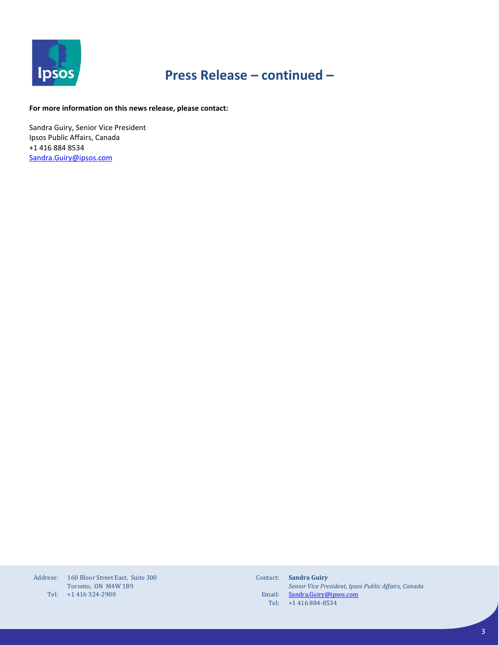

# **Press Release – continued –**

#### **For more information on this news release, please contact:**

Sandra Guiry, Senior Vice President Ipsos Public Affairs, Canada +1 416 884 8534 [Sandra.Guiry@ipsos.com](mailto:Sandra.Guiry@ipsos.com)

| Address: | 160 Bloor Street East. Suite 300 |
|----------|----------------------------------|
|          | Toronto, ON M4W 1B9              |
| Tel:     | +1 416 324-2900                  |

Contact: **Sandra Guiry** Email: Tel: *Senior Vice President, Ipsos Public Affairs, Canada* [Sandra.Guiry@ipsos.com](mailto:Sandra.Guiry@ipsos.com) +1 416 884-8534